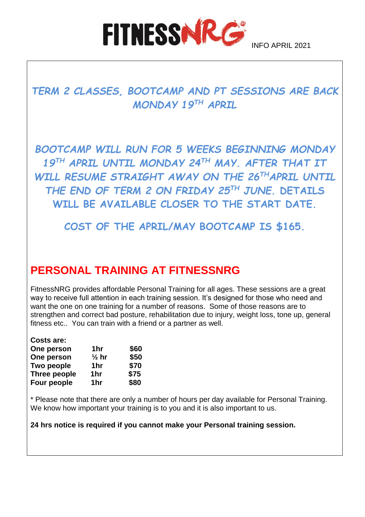

# *TERM 2 CLASSES, BOOTCAMP AND PT SESSIONS ARE BACK MONDAY 19TH APRIL*

*BOOTCAMP WILL RUN FOR 5 WEEKS BEGINNING MONDAY 19TH APRIL UNTIL MONDAY 24TH MAY. AFTER THAT IT WILL RESUME STRAIGHT AWAY ON THE 26THAPRIL UNTIL THE END OF TERM 2 ON FRIDAY 25TH JUNE.* **DETAILS WILL BE AVAILABLE CLOSER TO THE START DATE.**

**COST OF THE APRIL/MAY BOOTCAMP IS \$165.** 

# **PERSONAL TRAINING AT FITNESSNRG**

FitnessNRG provides affordable Personal Training for all ages. These sessions are a great way to receive full attention in each training session. It's designed for those who need and want the one on one training for a number of reasons. Some of those reasons are to strengthen and correct bad posture, rehabilitation due to injury, weight loss, tone up, general fitness etc.. You can train with a friend or a partner as well.

| <b>Costs are:</b> |                  |      |
|-------------------|------------------|------|
| One person        | 1hr              | \$60 |
| One person        | $\frac{1}{2}$ hr | \$50 |
| Two people        | 1hr              | \$70 |
| Three people      | 1hr              | \$75 |
| Four people       | 1hr              | \$80 |

\* Please note that there are only a number of hours per day available for Personal Training. We know how important your training is to you and it is also important to us.

**24 hrs notice is required if you cannot make your Personal training session.**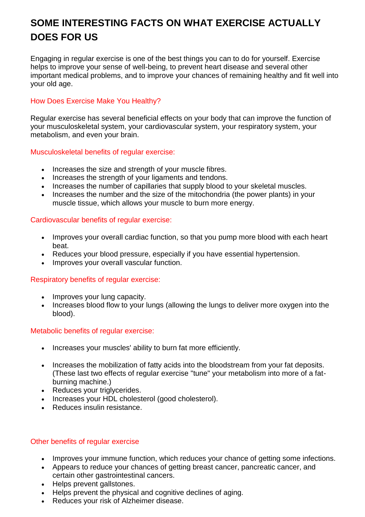# **SOME INTERESTING FACTS ON WHAT EXERCISE ACTUALLY DOES FOR US**

Engaging in regular exercise is one of the best things you can to do for yourself. Exercise helps to improve your sense of well-being, to prevent heart disease and several other important medical problems, and to improve your chances of remaining healthy and fit well into your old age.

### How Does Exercise Make You Healthy?

Regular exercise has several beneficial effects on your body that can improve the function of your musculoskeletal system, your cardiovascular system, your respiratory system, your metabolism, and even your brain.

Musculoskeletal benefits of regular exercise:

- Increases the size and strength of your muscle fibres.
- Increases the strength of your ligaments and tendons.
- Increases the number of capillaries that supply blood to your skeletal muscles.
- Increases the number and the size of the [mitochondria](https://www.verywell.com/lactic-acid-and-performance-3119185) (the power plants) in your muscle tissue, which allows your muscle to burn more energy.

#### Cardiovascular benefits of regular exercise:

- Improves your overall cardiac function, so that you pump more blood with each heart beat.
- Reduces your blood pressure, especially if you have [essential hypertension.](https://www.verywell.com/hypertension-high-blood-pressure-1746065)
- Improves your overall vascular function.

#### Respiratory benefits of regular exercise:

- Improves your lung capacity.
- Increases blood flow to your lungs (allowing the lungs to deliver more oxygen into the blood).

### Metabolic benefits of regular exercise:

- Increases your muscles' ability to burn fat more efficiently.
- Increases the mobilization of [fatty acids](https://www.verywell.com/unsaturated-fatty-acids-1745856) into the bloodstream from your fat deposits. (These last two effects of regular exercise "tune" your metabolism into more of a fatburning machine.)
- Reduces your [triglycerides.](https://www.verywell.com/triglycerides-1745842)
- Increases your [HDL cholesterol](https://www.verywell.com/hdl-cholesterol-1745852) (good cholesterol).
- Reduces [insulin resistance.](https://www.verywell.com/what-to-know-about-insulin-resistance-1087434)

#### Other benefits of regular exercise

- Improves your immune function, which reduces your chance of getting some infections.
- Appears to reduce your chances of getting breast cancer, pancreatic cancer, and certain other gastrointestinal cancers.
- Helps prevent gallstones.
- Helps prevent the physical and cognitive declines of aging.
- Reduces your risk of Alzheimer disease.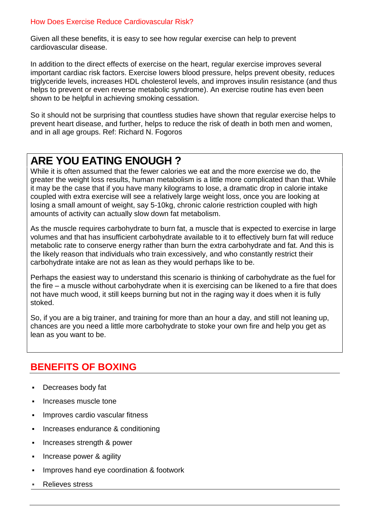### How Does Exercise Reduce Cardiovascular Risk?

Given all these benefits, it is easy to see how regular exercise can help to prevent cardiovascular disease.

In addition to the direct effects of exercise on the heart, regular exercise improves several important [cardiac risk factors.](https://www.verywell.com/preventing-heart-failure-after-heart-attacks-1746013) Exercise lowers blood pressure, helps prevent obesity, reduces triglyceride levels, increases HDL cholesterol levels, and improves insulin resistance (and thus helps to prevent or even reverse [metabolic syndrome\)](https://www.verywell.com/metabolic-syndrome-1745266). An exercise routine has even been shown to be helpful in achieving smoking cessation.

So it should not be surprising that countless studies have shown that regular exercise helps to prevent heart disease, and further, helps to reduce the risk of death in both men and women, and in all age groups. Ref: [Richard N. Fogoros](https://www.verywell.com/richard-n-fogoros-m-d-heart-disease-expert-1745211)

# **ARE YOU EATING ENOUGH ?**

While it is often assumed that the fewer calories we eat and the more exercise we do, the greater the weight loss results, human metabolism is a little more complicated than that. While it may be the case that if you have many kilograms to lose, a dramatic drop in calorie intake coupled with extra exercise will see a relatively large weight loss, once you are looking at losing a small amount of weight, say 5-10kg, chronic calorie restriction coupled with high amounts of activity can actually slow down fat metabolism.

As the muscle requires carbohydrate to burn fat, a muscle that is expected to exercise in large volumes and that has insufficient carbohydrate available to it to effectively burn fat will reduce metabolic rate to conserve energy rather than burn the extra carbohydrate and fat. And this is the likely reason that individuals who train excessively, and who constantly restrict their carbohydrate intake are not as lean as they would perhaps like to be.

Perhaps the easiest way to understand this scenario is thinking of carbohydrate as the fuel for the fire – a muscle without carbohydrate when it is exercising can be likened to a fire that does not have much wood, it still keeps burning but not in the raging way it does when it is fully stoked.

So, if you are a big trainer, and training for more than an hour a day, and still not leaning up, chances are you need a little more carbohydrate to stoke your own fire and help you get as lean as you want to be.

## **BENEFITS OF BOXING**

- Decreases body fat
- Increases muscle tone
- Improves cardio vascular fitness
- Increases endurance & conditioning
- Increases strength & power
- Increase power & agility
- Improves hand eye coordination & footwork
- Relieves stress